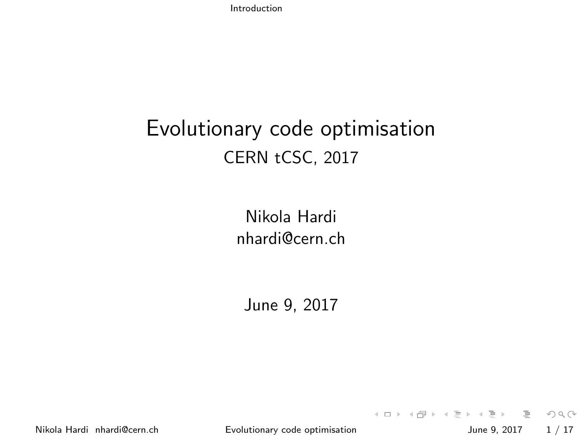[Introduction](#page-0-0)

#### Evolutionary code optimisation CERN tCSC, 2017

Nikola Hardi [nhardi@cern.ch](mailto:nhardi@cern.ch)

June 9, 2017

<span id="page-0-0"></span>

K ロ > K @ > K ミ > K ミ > → ミ → 9 Q Q → Nikola Hardi [nhardi@cern.ch](mailto:nhardi@cern.ch) **[Evolutionary code optimisation](#page-16-0)** June 9, 2017 1/17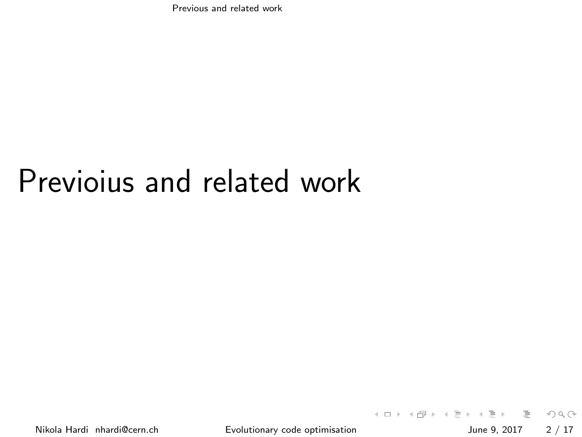[Previous and related work](#page-1-0)

# Previoius and related work

<span id="page-1-0"></span>

イロト イ押ト イミト イヨト 三 りへい Nikola Hardi [nhardi@cern.ch](mailto:nhardi@cern.ch) **[Evolutionary code optimisation](#page-0-0)** June 9, 2017 2 / 17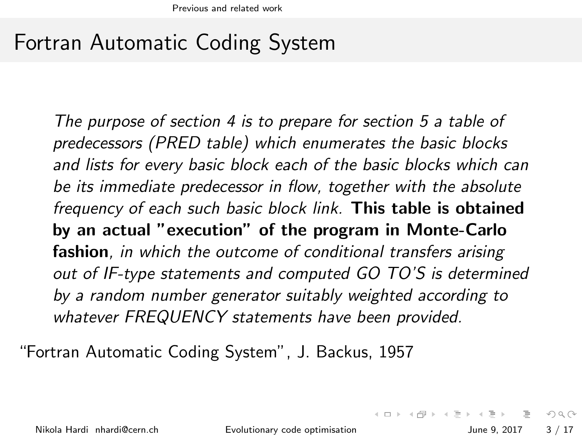#### Fortran Automatic Coding System

The purpose of section 4 is to prepare for section 5 a table of predecessors (PRED table) which enumerates the basic blocks and lists for every basic block each of the basic blocks which can be its immediate predecessor in flow, together with the absolute frequency of each such basic block link. This table is obtained by an actual "execution" of the program in Monte-Carlo fashion, in which the outcome of conditional transfers arising out of IF-type statements and computed GO TO'S is determined by a random number generator suitably weighted according to whatever FREQUENCY statements have been provided.

"Fortran Automatic Coding System", J. Backus, 1957

Nikola Hardi [nhardi@cern.ch](mailto:nhardi@cern.ch) [Evolutionary code optimisation](#page-0-0) June 9, 2017 3 / 17

<span id="page-2-0"></span> $OQ$ 

 $\mathcal{A} \otimes \mathcal{A} \rightarrow \mathcal{A} \otimes \mathcal{B} \rightarrow \mathcal{A} \otimes \mathcal{B} \rightarrow \mathcal{A} \otimes \mathcal{B} \rightarrow \mathcal{A} \otimes \mathcal{B} \rightarrow \mathcal{A} \otimes \mathcal{B} \rightarrow \mathcal{A} \otimes \mathcal{B} \rightarrow \mathcal{A} \otimes \mathcal{B} \rightarrow \mathcal{A} \otimes \mathcal{B} \rightarrow \mathcal{A} \otimes \mathcal{B} \rightarrow \mathcal{A} \otimes \mathcal{B} \rightarrow \mathcal{A} \otimes \mathcal{B} \rightarrow \mathcal{A} \otimes \mathcal{B} \$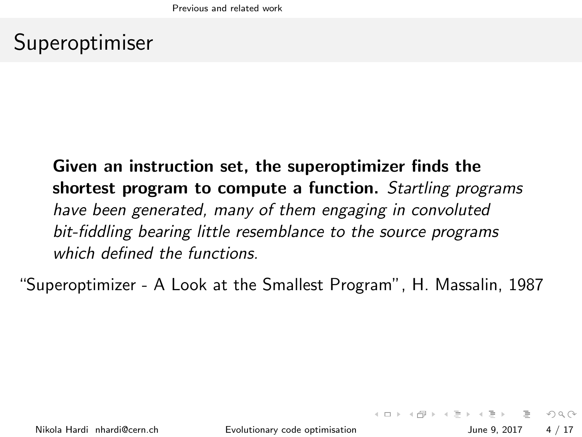### Superoptimiser

#### Given an instruction set, the superoptimizer finds the shortest program to compute a function. Startling programs have been generated, many of them engaging in convoluted bit-fiddling bearing little resemblance to the source programs which defined the functions.

"Superoptimizer - A Look at the Smallest Program", H. Massalin, 1987

<span id="page-3-0"></span>**KED KARD KED KED E YORA**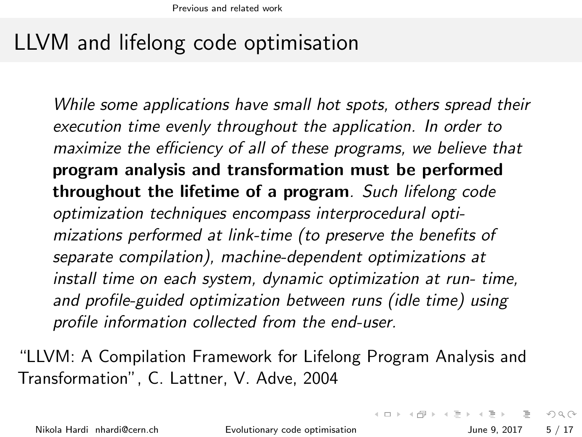### LLVM and lifelong code optimisation

While some applications have small hot spots, others spread their execution time evenly throughout the application. In order to maximize the efficiency of all of these programs, we believe that program analysis and transformation must be performed throughout the lifetime of a program. Such lifelong code optimization techniques encompass interprocedural optimizations performed at link-time (to preserve the benefits of separate compilation), machine-dependent optimizations at install time on each system, dynamic optimization at run- time, and profile-guided optimization between runs (idle time) using profile information collected from the end-user.

"LLVM: A Compilation Framework for Lifelong Program Analysis and Transformation", C. Lattner, V. Adve, 2004

Nikola Hardi [nhardi@cern.ch](mailto:nhardi@cern.ch) [Evolutionary code optimisation](#page-0-0) June 9, 2017 5 / 17

<span id="page-4-0"></span>K ロ > K @ > K 경 > K 경 > 시 경 +  $OQ$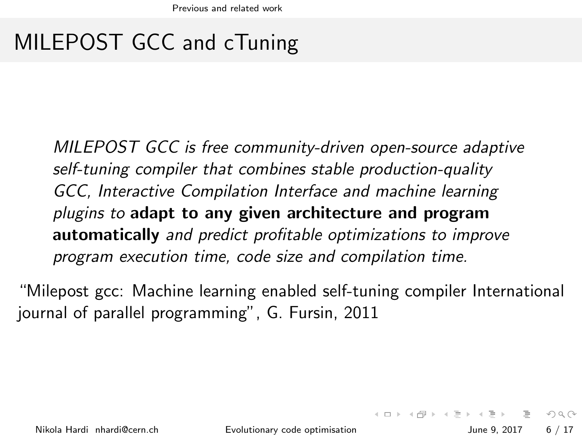# MILEPOST GCC and cTuning

MILEPOST GCC is free community-driven open-source adaptive self-tuning compiler that combines stable production-quality GCC, Interactive Compilation Interface and machine learning plugins to adapt to any given architecture and program automatically and predict profitable optimizations to improve program execution time, code size and compilation time.

"Milepost gcc: Machine learning enabled self-tuning compiler International journal of parallel programming", G. Fursin, 2011

<span id="page-5-0"></span>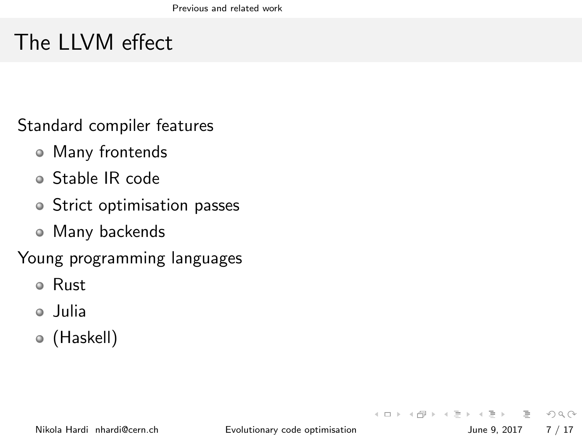# The LLVM effect

Standard compiler features

- Many frontends
- Stable IR code
- Strict optimisation passes
- Many backends

Young programming languages

- Rust
- Julia
- (Haskell)

<span id="page-6-0"></span> $\Omega$ 

 $\left\{ \begin{array}{ccc} 1 & 0 & 0 \\ 0 & 1 & 0 \end{array} \right\}$  ,  $\left\{ \begin{array}{ccc} 0 & 0 & 0 \\ 0 & 0 & 0 \end{array} \right\}$  ,  $\left\{ \begin{array}{ccc} 0 & 0 & 0 \\ 0 & 0 & 0 \end{array} \right\}$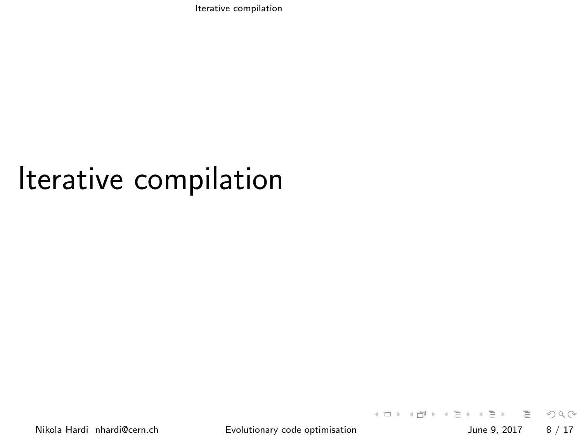[Iterative compilation](#page-7-0)

# Iterative compilation

<span id="page-7-0"></span>

 $\left\{ \begin{array}{ccc} 1 & 0 & 0 \\ 0 & 1 & 0 \end{array} \right\}$  ,  $\left\{ \begin{array}{ccc} 0 & 0 & 0 \\ 0 & 0 & 0 \end{array} \right\}$  ,  $\left\{ \begin{array}{ccc} 0 & 0 & 0 \\ 0 & 0 & 0 \end{array} \right\}$ - 2  $OQ$ Nikola Hardi [nhardi@cern.ch](mailto:nhardi@cern.ch) **[Evolutionary code optimisation](#page-0-0)** June 9, 2017 8 / 17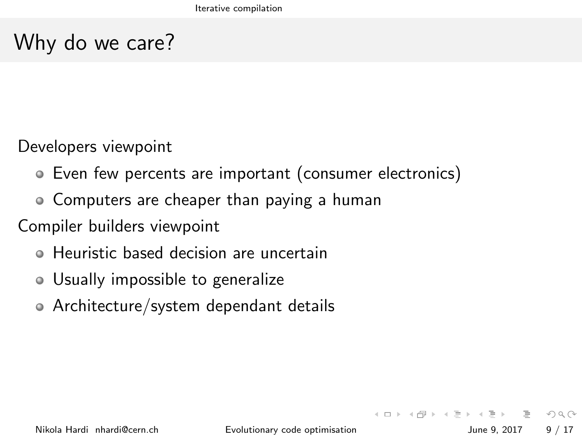## Why do we care?

Developers viewpoint

- Even few percents are important (consumer electronics)
- Computers are cheaper than paying a human

Compiler builders viewpoint

- Heuristic based decision are uncertain
- Usually impossible to generalize
- Architecture/system dependant details

<span id="page-8-0"></span> $\equiv$   $\curvearrowleft$   $\curvearrowright$ 

イロト イ母ト イヨト イヨト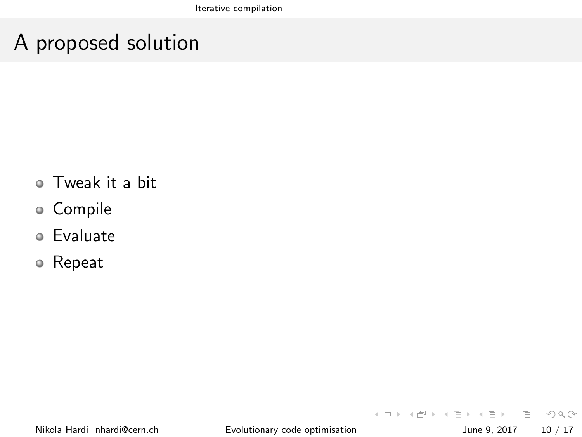#### A proposed solution

- Tweak it a bit
- Compile
- Evaluate
- Repeat

<span id="page-9-0"></span>三 りへい

イロト イ部 トイモト イモト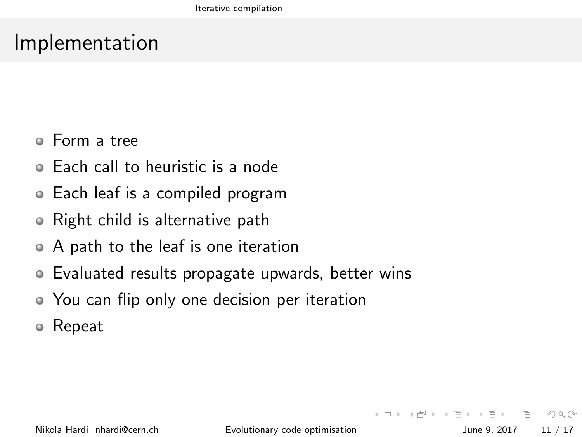#### Implementation

- Form a tree
- Each call to heuristic is a node  $\blacksquare$
- Each leaf is a compiled program
- Right child is alternative path  $\bullet$
- A path to the leaf is one iteration
- Evaluated results propagate upwards, better wins  $\bullet$
- You can flip only one decision per iteration
- Repeat

Nikola Hardi [nhardi@cern.ch](mailto:nhardi@cern.ch) [Evolutionary code optimisation](#page-0-0) June 9, 2017 11 / 17

 $\equiv$ 

<span id="page-10-0"></span> $\Omega$ 

イロト イ母ト イヨト イヨト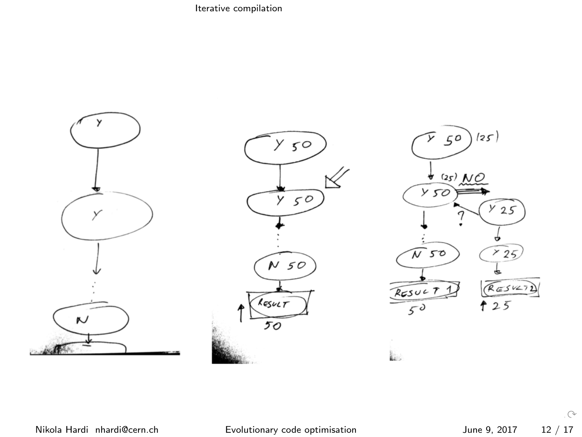[Iterative compilation](#page-11-0)



<span id="page-11-0"></span> $\mathcal{C}$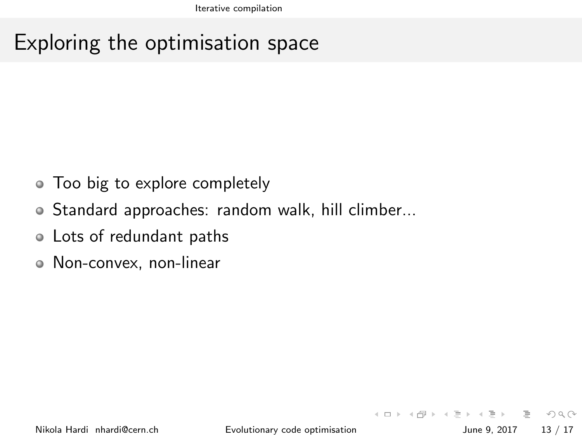#### Exploring the optimisation space

- Too big to explore completely
- Standard approaches: random walk, hill climber...
- Lots of redundant paths
- <span id="page-12-0"></span>Non-convex, non-linear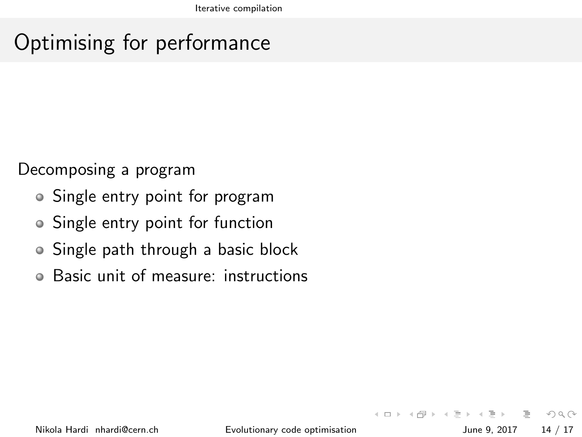### Optimising for performance

Decomposing a program

- Single entry point for program
- Single entry point for function
- Single path through a basic block
- Basic unit of measure: instructions  $\bullet$

<span id="page-13-0"></span> $\equiv$   $\circ$   $\circ$   $\sim$ 

イロト イ母ト イヨト イヨト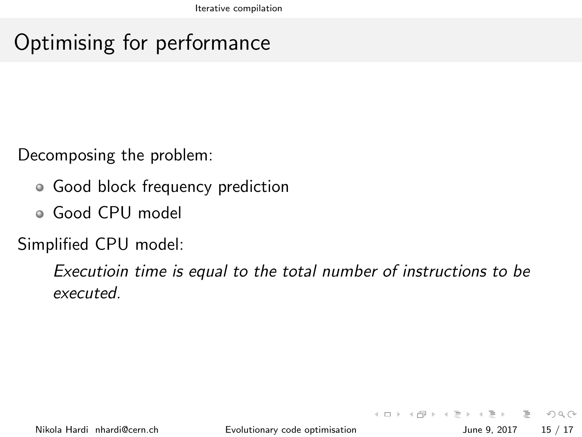### Optimising for performance

Decomposing the problem:

- Good block frequency prediction
- Good CPU model

Simplified CPU model:

<span id="page-14-0"></span>Executioin time is equal to the total number of instructions to be executed.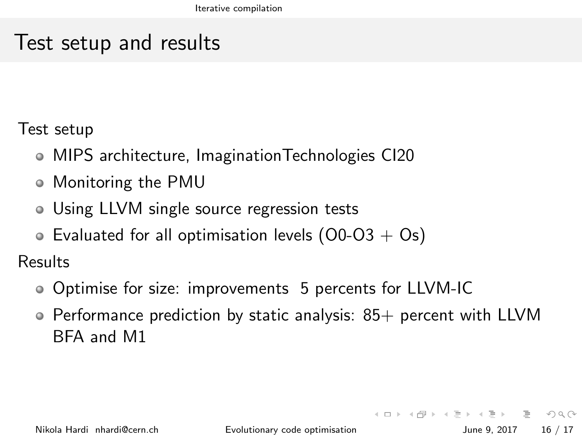#### Test setup and results

Test setup

- MIPS architecture, ImaginationTechnologies CI20
- Monitoring the PMU
- Using LLVM single source regression tests
- Evaluated for all optimisation levels  $(00-03 + 0s)$

Results

- Optimise for size: improvements 5 percents for LLVM-IC
- $\circ$  Performance prediction by static analysis: 85+ percent with LLVM BFA and M1

<span id="page-15-0"></span>**KED KARD KED KED E YORA**